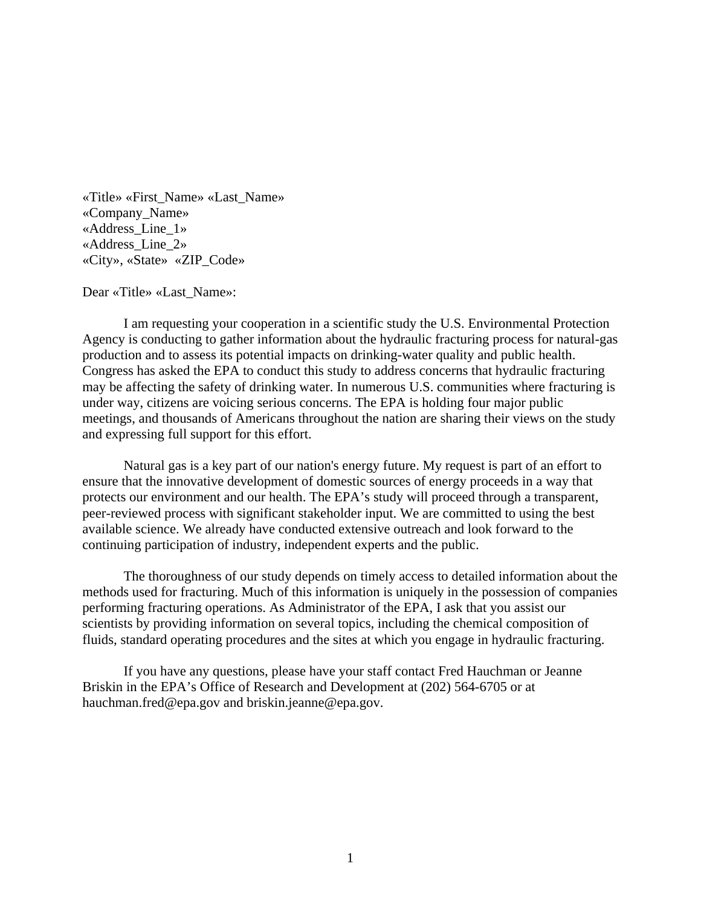«Title» «First\_Name» «Last\_Name» «Company\_Name» «Address\_Line\_1» «Address\_Line\_2» «City», «State» «ZIP\_Code»

Dear «Title» «Last\_Name»:

I am requesting your cooperation in a scientific study the U.S. Environmental Protection Agency is conducting to gather information about the hydraulic fracturing process for natural-gas production and to assess its potential impacts on drinking-water quality and public health. Congress has asked the EPA to conduct this study to address concerns that hydraulic fracturing may be affecting the safety of drinking water. In numerous U.S. communities where fracturing is under way, citizens are voicing serious concerns. The EPA is holding four major public meetings, and thousands of Americans throughout the nation are sharing their views on the study and expressing full support for this effort.

Natural gas is a key part of our nation's energy future. My request is part of an effort to ensure that the innovative development of domestic sources of energy proceeds in a way that protects our environment and our health. The EPA's study will proceed through a transparent, peer-reviewed process with significant stakeholder input. We are committed to using the best available science. We already have conducted extensive outreach and look forward to the continuing participation of industry, independent experts and the public.

The thoroughness of our study depends on timely access to detailed information about the methods used for fracturing. Much of this information is uniquely in the possession of companies performing fracturing operations. As Administrator of the EPA, I ask that you assist our scientists by providing information on several topics, including the chemical composition of fluids, standard operating procedures and the sites at which you engage in hydraulic fracturing.

If you have any questions, please have your staff contact Fred Hauchman or Jeanne Briskin in the EPA's Office of Research and Development at (202) 564-6705 or at hauchman.fred@epa.gov and briskin.jeanne@epa.gov.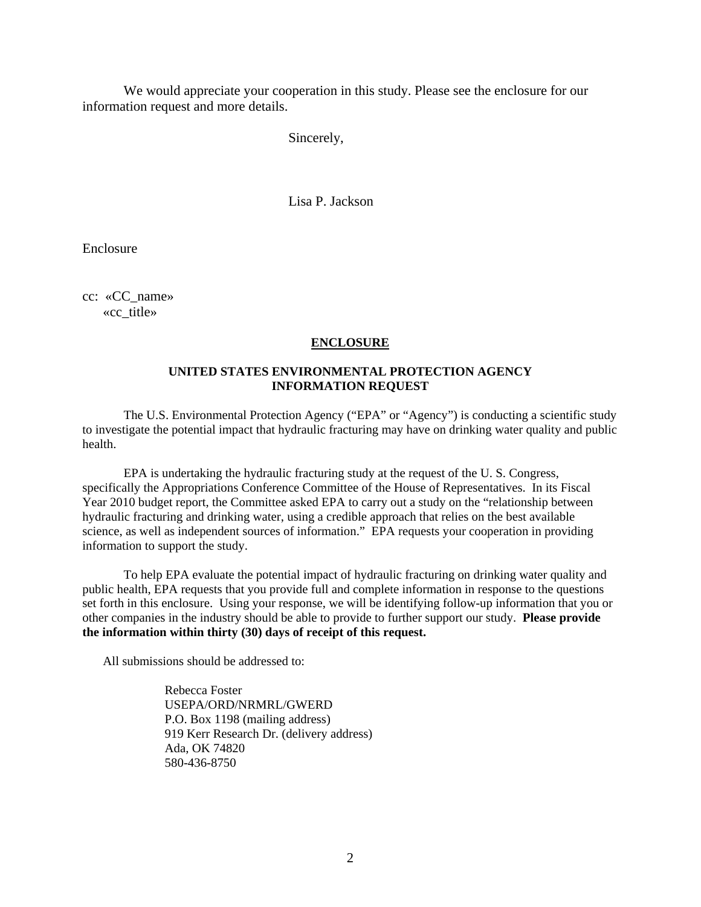We would appreciate your cooperation in this study. Please see the enclosure for our information request and more details.

Sincerely,

Lisa P. Jackson

Enclosure

cc: «CC\_name» «cc\_title»

### **ENCLOSURE**

## **UNITED STATES ENVIRONMENTAL PROTECTION AGENCY INFORMATION REQUEST**

The U.S. Environmental Protection Agency ("EPA" or "Agency") is conducting a scientific study to investigate the potential impact that hydraulic fracturing may have on drinking water quality and public health.

information to support the study. EPA is undertaking the hydraulic fracturing study at the request of the U. S. Congress, specifically the Appropriations Conference Committee of the House of Representatives. In its Fiscal Year 2010 budget report, the Committee asked EPA to carry out a study on the "relationship between hydraulic fracturing and drinking water, using a credible approach that relies on the best available science, as well as independent sources of information." EPA requests your cooperation in providing

 other companies in the industry should be able to provide to further support our study. **Please provide**  To help EPA evaluate the potential impact of hydraulic fracturing on drinking water quality and public health, EPA requests that you provide full and complete information in response to the questions set forth in this enclosure. Using your response, we will be identifying follow-up information that you or **the information within thirty (30) days of receipt of this request.** 

All submissions should be addressed to:

Rebecca Foster USEPA/ORD/NRMRL/GWERD P.O. Box 1198 (mailing address) 919 Kerr Research Dr. (delivery address) Ada, OK 74820 580-436-8750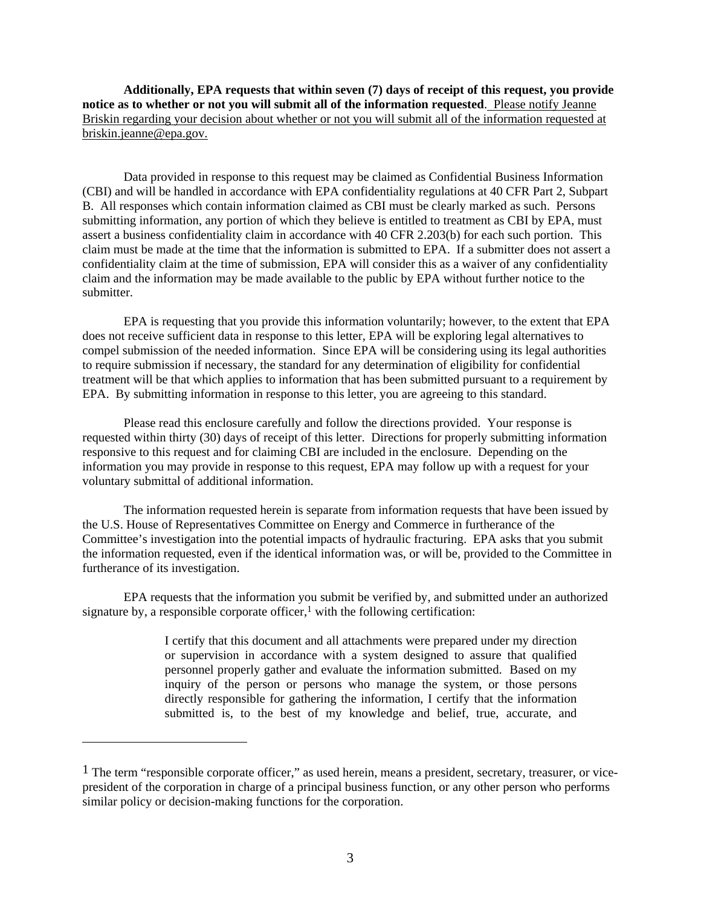**Additionally, EPA requests that within seven (7) days of receipt of this request, you provide notice as to whether or not you will submit all of the information requested**. Please notify Jeanne Briskin regarding your decision about whether or not you will submit all of the information requested at briskin.jeanne@epa.gov.

Data provided in response to this request may be claimed as Confidential Business Information (CBI) and will be handled in accordance with EPA confidentiality regulations at 40 CFR Part 2, Subpart B. All responses which contain information claimed as CBI must be clearly marked as such. Persons submitting information, any portion of which they believe is entitled to treatment as CBI by EPA, must assert a business confidentiality claim in accordance with 40 CFR 2.203(b) for each such portion. This claim must be made at the time that the information is submitted to EPA. If a submitter does not assert a confidentiality claim at the time of submission, EPA will consider this as a waiver of any confidentiality claim and the information may be made available to the public by EPA without further notice to the submitter.

EPA is requesting that you provide this information voluntarily; however, to the extent that EPA does not receive sufficient data in response to this letter, EPA will be exploring legal alternatives to compel submission of the needed information. Since EPA will be considering using its legal authorities to require submission if necessary, the standard for any determination of eligibility for confidential treatment will be that which applies to information that has been submitted pursuant to a requirement by EPA. By submitting information in response to this letter, you are agreeing to this standard.

Please read this enclosure carefully and follow the directions provided. Your response is requested within thirty (30) days of receipt of this letter. Directions for properly submitting information responsive to this request and for claiming CBI are included in the enclosure. Depending on the information you may provide in response to this request, EPA may follow up with a request for your voluntary submittal of additional information.

The information requested herein is separate from information requests that have been issued by the U.S. House of Representatives Committee on Energy and Commerce in furtherance of the Committee's investigation into the potential impacts of hydraulic fracturing. EPA asks that you submit the information requested, even if the identical information was, or will be, provided to the Committee in furtherance of its investigation.

EPA requests that the information you submit be verified by, and submitted under an authorized signature by, a responsible corporate officer, $\frac{1}{2}$  with the following certification:

> I certify that this document and all attachments were prepared under my direction or supervision in accordance with a system designed to assure that qualified personnel properly gather and evaluate the information submitted. Based on my inquiry of the person or persons who manage the system, or those persons directly responsible for gathering the information, I certify that the information submitted is, to the best of my knowledge and belief, true, accurate, and

-

<sup>&</sup>lt;sup>1</sup> The term "responsible corporate officer," as used herein, means a president, secretary, treasurer, or vicepresident of the corporation in charge of a principal business function, or any other person who performs similar policy or decision-making functions for the corporation.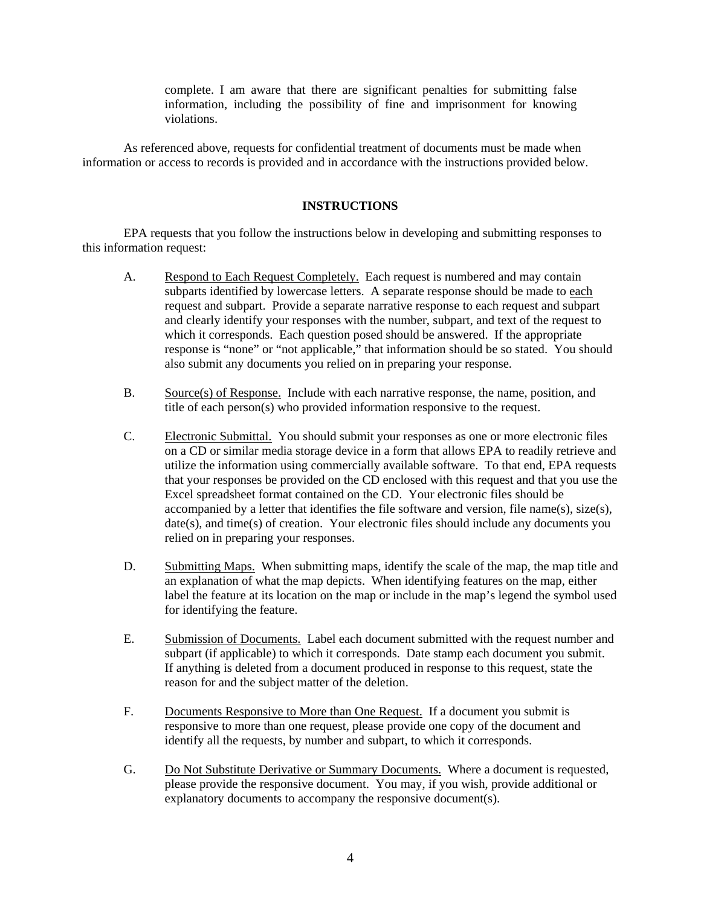complete. I am aware that there are significant penalties for submitting false information, including the possibility of fine and imprisonment for knowing violations.

As referenced above, requests for confidential treatment of documents must be made when information or access to records is provided and in accordance with the instructions provided below.

### **INSTRUCTIONS**

EPA requests that you follow the instructions below in developing and submitting responses to this information request:

- A. Respond to Each Request Completely. Each request is numbered and may contain also submit any documents you relied on in preparing your response. subparts identified by lowercase letters. A separate response should be made to each request and subpart. Provide a separate narrative response to each request and subpart and clearly identify your responses with the number, subpart, and text of the request to which it corresponds. Each question posed should be answered. If the appropriate response is "none" or "not applicable," that information should be so stated. You should
- B. Source(s) of Response. Include with each narrative response, the name, position, and title of each person(s) who provided information responsive to the request.
- C. Electronic Submittal. You should submit your responses as one or more electronic files on a CD or similar media storage device in a form that allows EPA to readily retrieve and utilize the information using commercially available software. To that end, EPA requests that your responses be provided on the CD enclosed with this request and that you use the Excel spreadsheet format contained on the CD. Your electronic files should be accompanied by a letter that identifies the file software and version, file name(s),  $size(s)$ , date(s), and time(s) of creation. Your electronic files should include any documents you relied on in preparing your responses.
- D. Submitting Maps. When submitting maps, identify the scale of the map, the map title and an explanation of what the map depicts. When identifying features on the map, either label the feature at its location on the map or include in the map's legend the symbol used for identifying the feature.
- E. Submission of Documents. Label each document submitted with the request number and subpart (if applicable) to which it corresponds. Date stamp each document you submit. If anything is deleted from a document produced in response to this request, state the reason for and the subject matter of the deletion.
- F. Documents Responsive to More than One Request. If a document you submit is responsive to more than one request, please provide one copy of the document and identify all the requests, by number and subpart, to which it corresponds.
- G. Do Not Substitute Derivative or Summary Documents. Where a document is requested, please provide the responsive document. You may, if you wish, provide additional or explanatory documents to accompany the responsive document(s).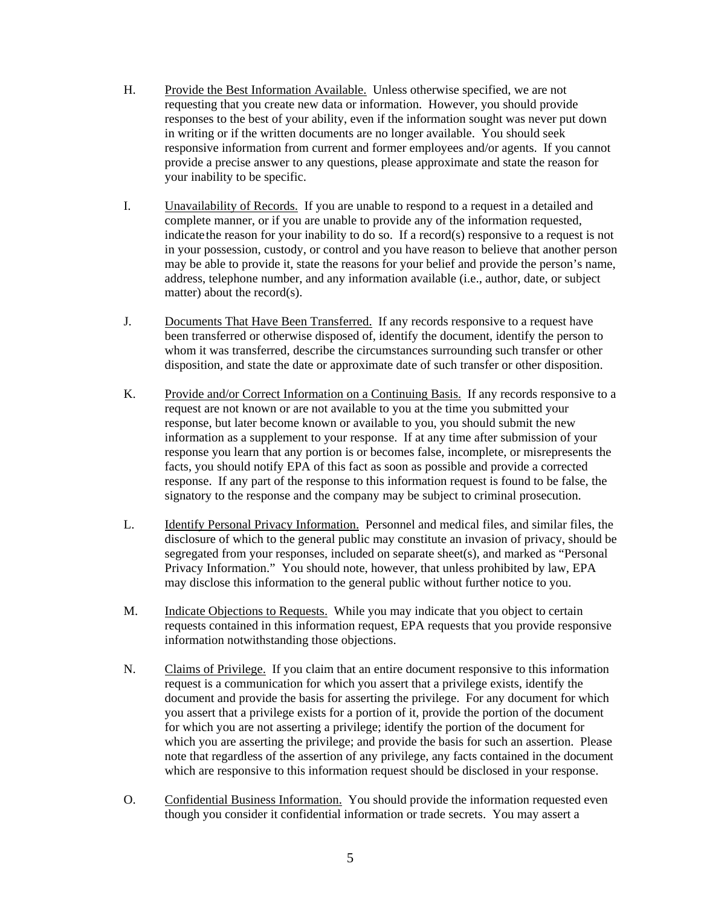- H. Provide the Best Information Available. Unless otherwise specified, we are not requesting that you create new data or information. However, you should provide responses to the best of your ability, even if the information sought was never put down in writing or if the written documents are no longer available. You should seek responsive information from current and former employees and/or agents. If you cannot provide a precise answer to any questions, please approximate and state the reason for your inability to be specific.
- I. Unavailability of Records. If you are unable to respond to a request in a detailed and complete manner, or if you are unable to provide any of the information requested, indicate the reason for your inability to do so. If a record(s) responsive to a request is not in your possession, custody, or control and you have reason to believe that another person may be able to provide it, state the reasons for your belief and provide the person's name, address, telephone number, and any information available (i.e., author, date, or subject matter) about the record(s).
- J. Documents That Have Been Transferred. If any records responsive to a request have been transferred or otherwise disposed of, identify the document, identify the person to whom it was transferred, describe the circumstances surrounding such transfer or other disposition, and state the date or approximate date of such transfer or other disposition.
- K. Provide and/or Correct Information on a Continuing Basis. If any records responsive to a request are not known or are not available to you at the time you submitted your response, but later become known or available to you, you should submit the new information as a supplement to your response. If at any time after submission of your response you learn that any portion is or becomes false, incomplete, or misrepresents the facts, you should notify EPA of this fact as soon as possible and provide a corrected response. If any part of the response to this information request is found to be false, the signatory to the response and the company may be subject to criminal prosecution.
- disclosure of which to the general public may constitute an invasion of privacy, should be L. Identify Personal Privacy Information. Personnel and medical files, and similar files, the segregated from your responses, included on separate sheet(s), and marked as "Personal Privacy Information." You should note, however, that unless prohibited by law, EPA may disclose this information to the general public without further notice to you.
- M. Indicate Objections to Requests. While you may indicate that you object to certain requests contained in this information request, EPA requests that you provide responsive information notwithstanding those objections.
- N. Claims of Privilege. If you claim that an entire document responsive to this information request is a communication for which you assert that a privilege exists, identify the document and provide the basis for asserting the privilege. For any document for which you assert that a privilege exists for a portion of it, provide the portion of the document for which you are not asserting a privilege; identify the portion of the document for which you are asserting the privilege; and provide the basis for such an assertion. Please note that regardless of the assertion of any privilege, any facts contained in the document which are responsive to this information request should be disclosed in your response.
- O. Confidential Business Information. You should provide the information requested even though you consider it confidential information or trade secrets. You may assert a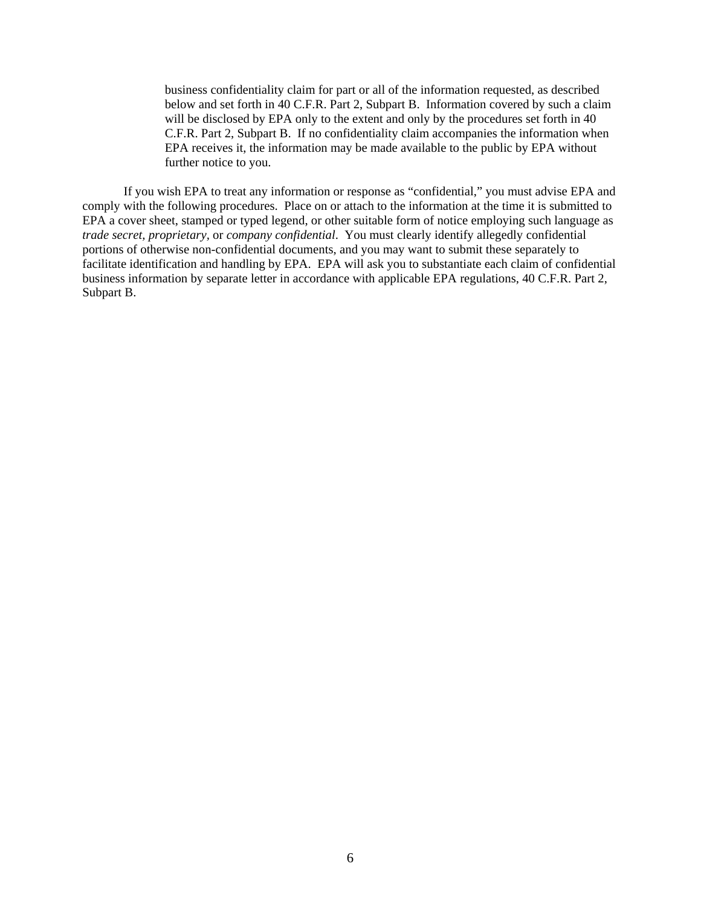business confidentiality claim for part or all of the information requested, as described below and set forth in 40 C.F.R. Part 2, Subpart B. Information covered by such a claim will be disclosed by EPA only to the extent and only by the procedures set forth in 40 C.F.R. Part 2, Subpart B. If no confidentiality claim accompanies the information when EPA receives it, the information may be made available to the public by EPA without further notice to you.

 *trade secret, proprietary,* or *company confidential*. You must clearly identify allegedly confidential If you wish EPA to treat any information or response as "confidential," you must advise EPA and comply with the following procedures. Place on or attach to the information at the time it is submitted to EPA a cover sheet, stamped or typed legend, or other suitable form of notice employing such language as portions of otherwise non-confidential documents, and you may want to submit these separately to facilitate identification and handling by EPA. EPA will ask you to substantiate each claim of confidential business information by separate letter in accordance with applicable EPA regulations, 40 C.F.R. Part 2, Subpart B.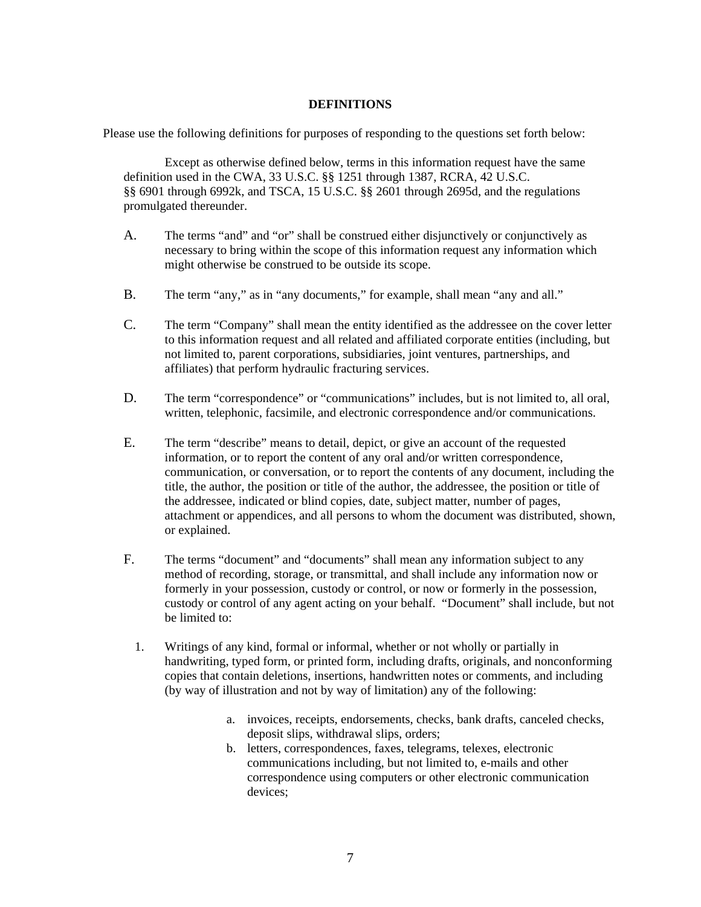# **DEFINITIONS**

Please use the following definitions for purposes of responding to the questions set forth below:

Except as otherwise defined below, terms in this information request have the same definition used in the CWA, 33 U.S.C. §§ 1251 through 1387, RCRA, 42 U.S.C. §§ 6901 through 6992k, and TSCA, 15 U.S.C. §§ 2601 through 2695d, and the regulations promulgated thereunder.

- A. The terms "and" and "or" shall be construed either disjunctively or conjunctively as necessary to bring within the scope of this information request any information which might otherwise be construed to be outside its scope.
- B. The term "any," as in "any documents," for example, shall mean "any and all."
- C. The term "Company" shall mean the entity identified as the addressee on the cover letter to this information request and all related and affiliated corporate entities (including, but not limited to, parent corporations, subsidiaries, joint ventures, partnerships, and affiliates) that perform hydraulic fracturing services.
- D. The term "correspondence" or "communications" includes, but is not limited to, all oral, written, telephonic, facsimile, and electronic correspondence and/or communications.
- E. The term "describe" means to detail, depict, or give an account of the requested information, or to report the content of any oral and/or written correspondence, communication, or conversation, or to report the contents of any document, including the title, the author, the position or title of the author, the addressee, the position or title of the addressee, indicated or blind copies, date, subject matter, number of pages, attachment or appendices, and all persons to whom the document was distributed, shown, or explained.
- F. The terms "document" and "documents" shall mean any information subject to any method of recording, storage, or transmittal, and shall include any information now or formerly in your possession, custody or control, or now or formerly in the possession, custody or control of any agent acting on your behalf. "Document" shall include, but not be limited to:
	- 1. Writings of any kind, formal or informal, whether or not wholly or partially in handwriting, typed form, or printed form, including drafts, originals, and nonconforming copies that contain deletions, insertions, handwritten notes or comments, and including (by way of illustration and not by way of limitation) any of the following:
		- a. invoices, receipts, endorsements, checks, bank drafts, canceled checks, deposit slips, withdrawal slips, orders;
		- b. letters, correspondences, faxes, telegrams, telexes, electronic communications including, but not limited to, e-mails and other correspondence using computers or other electronic communication devices;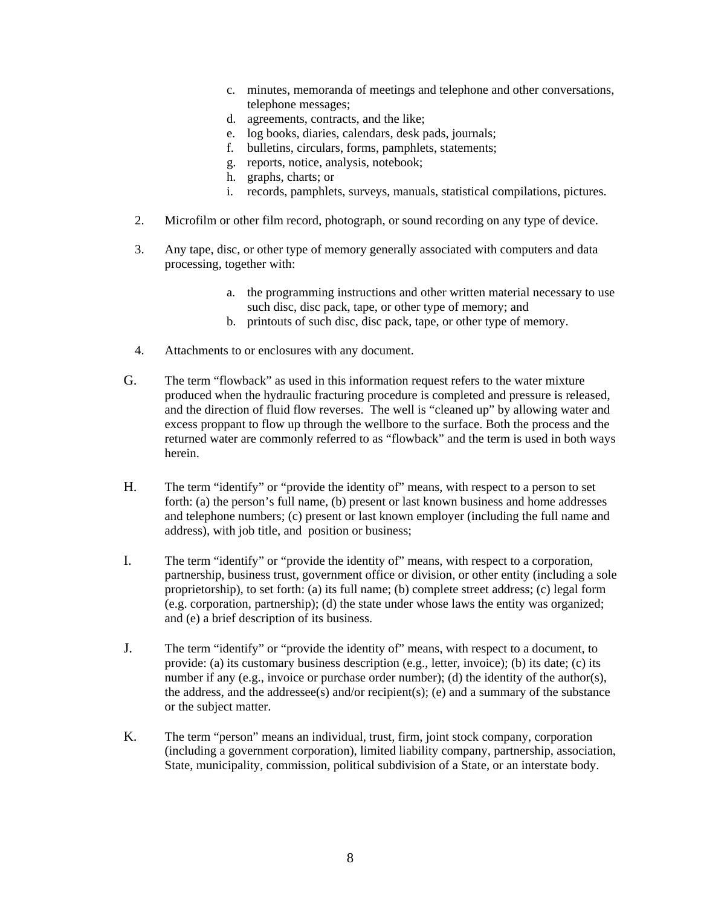- c. minutes, memoranda of meetings and telephone and other conversations, telephone messages;
- d. agreements, contracts, and the like;
- e. log books, diaries, calendars, desk pads, journals;
- f. bulletins, circulars, forms, pamphlets, statements;
- g. reports, notice, analysis, notebook;<br>h. graphs, charts; or
- 
- i. records, pamphlets, surveys, manuals, statistical compilations, pictures.
- 2. Microfilm or other film record, photograph, or sound recording on any type of device.
- 3. Any tape, disc, or other type of memory generally associated with computers and data processing, together with:
	- a. the programming instructions and other written material necessary to use such disc, disc pack, tape, or other type of memory; and
	- b. printouts of such disc, disc pack, tape, or other type of memory.
- 4. Attachments to or enclosures with any document.
- G. The term "flowback" as used in this information request refers to the water mixture produced when the hydraulic fracturing procedure is completed and pressure is released, and the direction of fluid flow reverses. The well is "cleaned up" by allowing water and excess proppant to flow up through the wellbore to the surface. Both the process and the returned water are commonly referred to as "flowback" and the term is used in both ways herein.
- H. The term "identify" or "provide the identity of" means, with respect to a person to set forth: (a) the person's full name, (b) present or last known business and home addresses and telephone numbers; (c) present or last known employer (including the full name and address), with job title, and position or business;
- I. The term "identify" or "provide the identity of" means, with respect to a corporation, partnership, business trust, government office or division, or other entity (including a sole proprietorship), to set forth: (a) its full name; (b) complete street address; (c) legal form (e.g. corporation, partnership); (d) the state under whose laws the entity was organized; and (e) a brief description of its business.
- J. The term "identify" or "provide the identity of" means, with respect to a document, to provide: (a) its customary business description (e.g., letter, invoice); (b) its date; (c) its number if any (e.g., invoice or purchase order number); (d) the identity of the author(s), the address, and the addressee(s) and/or recipient(s); (e) and a summary of the substance or the subject matter.
- K. The term "person" means an individual, trust, firm, joint stock company, corporation (including a government corporation), limited liability company, partnership, association, State, municipality, commission, political subdivision of a State, or an interstate body.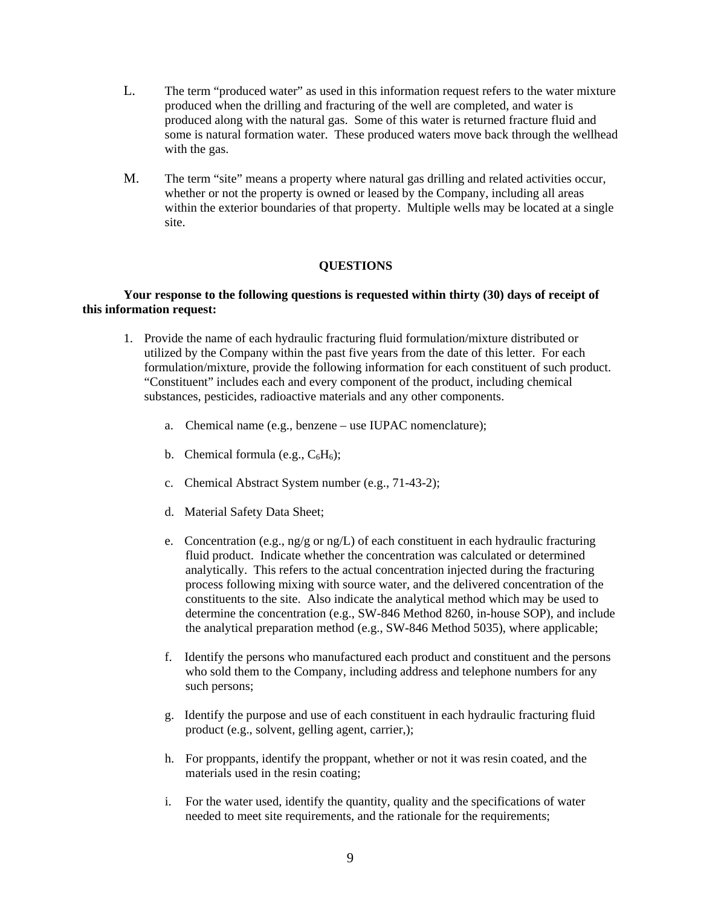- L. The term "produced water" as used in this information request refers to the water mixture produced when the drilling and fracturing of the well are completed, and water is produced along with the natural gas. Some of this water is returned fracture fluid and some is natural formation water. These produced waters move back through the wellhead with the gas.
- M. The term "site" means a property where natural gas drilling and related activities occur, whether or not the property is owned or leased by the Company, including all areas within the exterior boundaries of that property. Multiple wells may be located at a single site.

# **QUESTIONS**

### **Your response to the following questions is requested within thirty (30) days of receipt of this information request:**

- 1. Provide the name of each hydraulic fracturing fluid formulation/mixture distributed or utilized by the Company within the past five years from the date of this letter. For each formulation/mixture, provide the following information for each constituent of such product. "Constituent" includes each and every component of the product, including chemical substances, pesticides, radioactive materials and any other components.
	- a. Chemical name (e.g., benzene use IUPAC nomenclature);
	- b. Chemical formula (e.g.,  $C_6H_6$ );
	- c. Chemical Abstract System number (e.g., 71-43-2);
	- d. Material Safety Data Sheet;
	- e. Concentration (e.g., ng/g or ng/L) of each constituent in each hydraulic fracturing fluid product. Indicate whether the concentration was calculated or determined analytically. This refers to the actual concentration injected during the fracturing process following mixing with source water, and the delivered concentration of the constituents to the site. Also indicate the analytical method which may be used to determine the concentration (e.g., SW-846 Method 8260, in-house SOP), and include the analytical preparation method (e.g., SW-846 Method 5035), where applicable;
	- f. Identify the persons who manufactured each product and constituent and the persons who sold them to the Company, including address and telephone numbers for any such persons;
	- g. Identify the purpose and use of each constituent in each hydraulic fracturing fluid product (e.g., solvent, gelling agent, carrier,);
	- h. For proppants, identify the proppant, whether or not it was resin coated, and the materials used in the resin coating;
	- i. For the water used, identify the quantity, quality and the specifications of water needed to meet site requirements, and the rationale for the requirements;